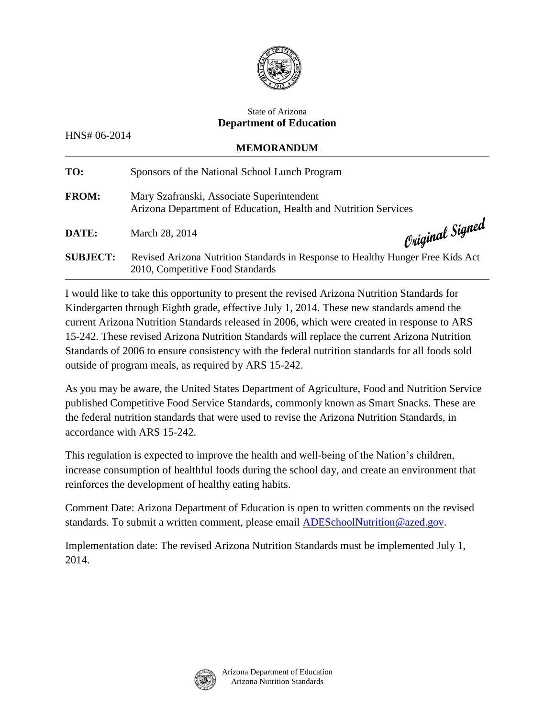

## State of Arizona **Department of Education**

HNS# 06-2014

| 111 112 11 22 22 1<br><b>MEMORANDUM</b> |                                                                                                                     |                                 |
|-----------------------------------------|---------------------------------------------------------------------------------------------------------------------|---------------------------------|
| TO:                                     | Sponsors of the National School Lunch Program                                                                       |                                 |
| <b>FROM:</b>                            | Mary Szafranski, Associate Superintendent<br>Arizona Department of Education, Health and Nutrition Services         |                                 |
| DATE:                                   | March 28, 2014                                                                                                      | $_{\mathcal{O}}$ riginal Signed |
| <b>SUBJECT:</b>                         | Revised Arizona Nutrition Standards in Response to Healthy Hunger Free Kids Act<br>2010, Competitive Food Standards |                                 |

I would like to take this opportunity to present the revised Arizona Nutrition Standards for Kindergarten through Eighth grade, effective July 1, 2014. These new standards amend the current Arizona Nutrition Standards released in 2006, which were created in response to ARS 15-242. These revised Arizona Nutrition Standards will replace the current Arizona Nutrition Standards of 2006 to ensure consistency with the federal nutrition standards for all foods sold outside of program meals, as required by ARS 15-242.

As you may be aware, the United States Department of Agriculture, Food and Nutrition Service published Competitive Food Service Standards, commonly known as Smart Snacks. These are the federal nutrition standards that were used to revise the Arizona Nutrition Standards, in accordance with ARS 15-242.

This regulation is expected to improve the health and well-being of the Nation's children, increase consumption of healthful foods during the school day, and create an environment that reinforces the development of healthy eating habits.

Comment Date: Arizona Department of Education is open to written comments on the revised standards. To submit a written comment, please email [ADESchoolNutrition@azed.gov.](mailto:ADESchoolNutrition@azed.gov)

Implementation date: The revised Arizona Nutrition Standards must be implemented July 1, 2014.

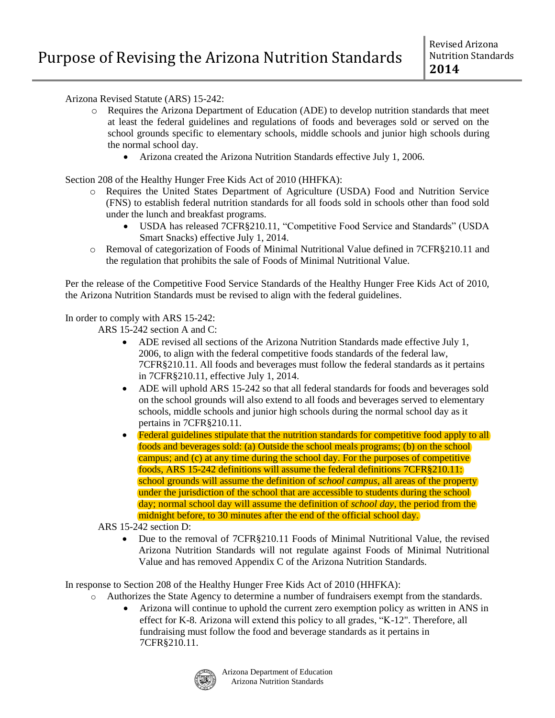Arizona Revised Statute (ARS) 15-242:

- o Requires the Arizona Department of Education (ADE) to develop nutrition standards that meet at least the federal guidelines and regulations of foods and beverages sold or served on the school grounds specific to elementary schools, middle schools and junior high schools during the normal school day.
	- Arizona created the Arizona Nutrition Standards effective July 1, 2006.

Section 208 of the Healthy Hunger Free Kids Act of 2010 (HHFKA):

- o Requires the United States Department of Agriculture (USDA) Food and Nutrition Service (FNS) to establish federal nutrition standards for all foods sold in schools other than food sold under the lunch and breakfast programs.
	- USDA has released 7CFR§210.11, "Competitive Food Service and Standards" (USDA Smart Snacks) effective July 1, 2014.
- o Removal of categorization of Foods of Minimal Nutritional Value defined in 7CFR§210.11 and the regulation that prohibits the sale of Foods of Minimal Nutritional Value.

Per the release of the Competitive Food Service Standards of the Healthy Hunger Free Kids Act of 2010, the Arizona Nutrition Standards must be revised to align with the federal guidelines.

In order to comply with ARS 15-242:

ARS 15-242 section A and C:

- ADE revised all sections of the Arizona Nutrition Standards made effective July 1, 2006, to align with the federal competitive foods standards of the federal law, 7CFR§210.11. All foods and beverages must follow the federal standards as it pertains in 7CFR§210.11, effective July 1, 2014.
- ADE will uphold ARS 15-242 so that all federal standards for foods and beverages sold on the school grounds will also extend to all foods and beverages served to elementary schools, middle schools and junior high schools during the normal school day as it pertains in 7CFR§210.11.
- Federal guidelines stipulate that the nutrition standards for competitive food apply to all foods and beverages sold: (a) Outside the school meals programs; (b) on the school campus; and (c) at any time during the school day. For the purposes of competitive foods, ARS 15-242 definitions will assume the federal definitions 7CFR§210.11: school grounds will assume the definition of *school campus*, all areas of the property under the jurisdiction of the school that are accessible to students during the school day; normal school day will assume the definition of *school day*, the period from the midnight before, to 30 minutes after the end of the official school day.

ARS 15-242 section D:

• Due to the removal of 7CFR§210.11 Foods of Minimal Nutritional Value, the revised Arizona Nutrition Standards will not regulate against Foods of Minimal Nutritional Value and has removed Appendix C of the Arizona Nutrition Standards.

In response to Section 208 of the Healthy Hunger Free Kids Act of 2010 (HHFKA):

- o Authorizes the State Agency to determine a number of fundraisers exempt from the standards.
	- Arizona will continue to uphold the current zero exemption policy as written in ANS in effect for K-8. Arizona will extend this policy to all grades, "K-12". Therefore, all fundraising must follow the food and beverage standards as it pertains in 7CFR§210.11.

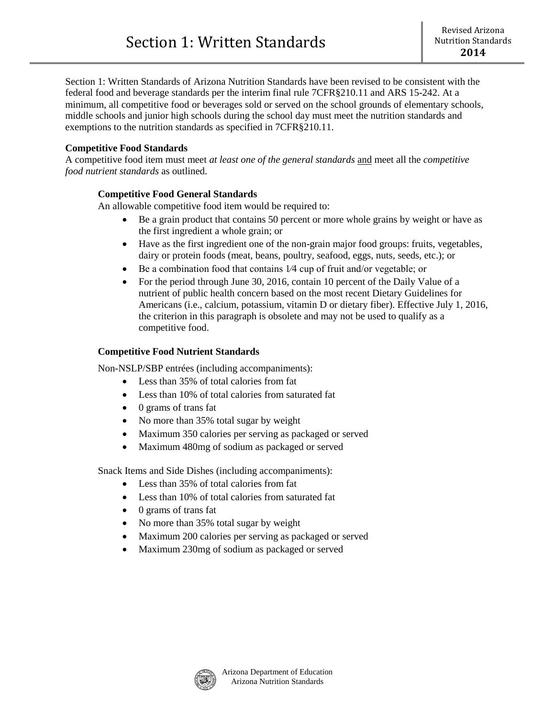Section 1: Written Standards of Arizona Nutrition Standards have been revised to be consistent with the federal food and beverage standards per the interim final rule 7CFR§210.11 and ARS 15-242. At a minimum, all competitive food or beverages sold or served on the school grounds of elementary schools, middle schools and junior high schools during the school day must meet the nutrition standards and exemptions to the nutrition standards as specified in 7CFR§210.11.

# **Competitive Food Standards**

A competitive food item must meet *at least one of the general standards* and meet all the *competitive food nutrient standards* as outlined.

#### **Competitive Food General Standards**

An allowable competitive food item would be required to:

- Be a grain product that contains 50 percent or more whole grains by weight or have as the first ingredient a whole grain; or
- Have as the first ingredient one of the non-grain major food groups: fruits, vegetables, dairy or protein foods (meat, beans, poultry, seafood, eggs, nuts, seeds, etc.); or
- Be a combination food that contains 1⁄4 cup of fruit and/or vegetable; or
- For the period through June 30, 2016, contain 10 percent of the Daily Value of a nutrient of public health concern based on the most recent Dietary Guidelines for Americans (i.e., calcium, potassium, vitamin D or dietary fiber). Effective July 1, 2016, the criterion in this paragraph is obsolete and may not be used to qualify as a competitive food.

## **Competitive Food Nutrient Standards**

Non-NSLP/SBP entrées (including accompaniments):

- Less than 35% of total calories from fat
- Less than 10% of total calories from saturated fat
- 0 grams of trans fat
- No more than 35% total sugar by weight
- Maximum 350 calories per serving as packaged or served
- Maximum 480mg of sodium as packaged or served

Snack Items and Side Dishes (including accompaniments):

- Less than 35% of total calories from fat
- Less than 10% of total calories from saturated fat
- 0 grams of trans fat
- No more than 35% total sugar by weight
- Maximum 200 calories per serving as packaged or served
- Maximum 230mg of sodium as packaged or served

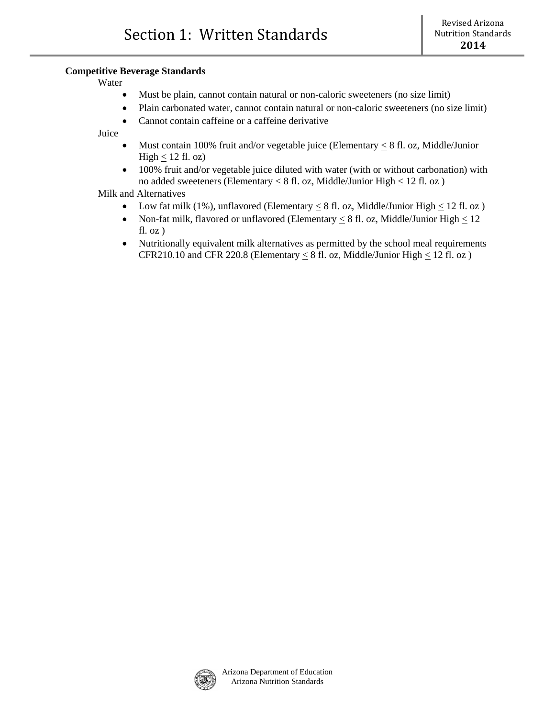#### **Competitive Beverage Standards**

Water

- Must be plain, cannot contain natural or non-caloric sweeteners (no size limit)
- Plain carbonated water, cannot contain natural or non-caloric sweeteners (no size limit)
- Cannot contain caffeine or a caffeine derivative

Juice

- Must contain 100% fruit and/or vegetable juice (Elementary  $\leq 8$  fl. oz, Middle/Junior High  $\leq 12$  fl. oz)
- 100% fruit and/or vegetable juice diluted with water (with or without carbonation) with no added sweeteners (Elementary  $\leq 8$  fl. oz, Middle/Junior High  $\leq 12$  fl. oz)

Milk and Alternatives

- Low fat milk (1%), unflavored (Elementary  $\leq 8$  fl. oz, Middle/Junior High  $\leq 12$  fl. oz)
- Non-fat milk, flavored or unflavored (Elementary  $\leq 8$  fl. oz, Middle/Junior High  $\leq 12$ fl. oz )
- Nutritionally equivalent milk alternatives as permitted by the school meal requirements CFR210.10 and CFR 220.8 (Elementary  $\leq 8$  fl. oz, Middle/Junior High  $\leq 12$  fl. oz)

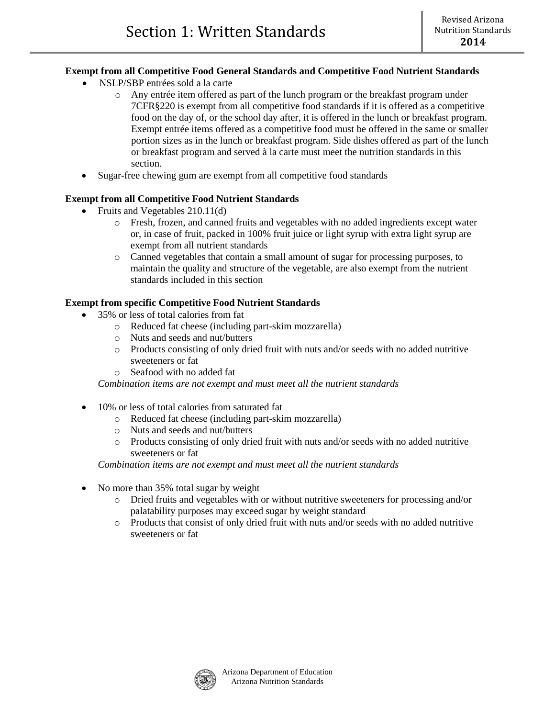# **Exempt from all Competitive Food General Standards and Competitive Food Nutrient Standards**

- NSLP/SBP entrées sold a la carte
	- o Any entrée item offered as part of the lunch program or the breakfast program under 7CFR§220 is exempt from all competitive food standards if it is offered as a competitive food on the day of, or the school day after, it is offered in the lunch or breakfast program. Exempt entrée items offered as a competitive food must be offered in the same or smaller portion sizes as in the lunch or breakfast program. Side dishes offered as part of the lunch or breakfast program and served à la carte must meet the nutrition standards in this section.
- Sugar-free chewing gum are exempt from all competitive food standards

## **Exempt from all Competitive Food Nutrient Standards**

- Fruits and Vegetables 210.11(d)
	- o Fresh, frozen, and canned fruits and vegetables with no added ingredients except water or, in case of fruit, packed in 100% fruit juice or light syrup with extra light syrup are exempt from all nutrient standards
	- o Canned vegetables that contain a small amount of sugar for processing purposes, to maintain the quality and structure of the vegetable, are also exempt from the nutrient standards included in this section

## **Exempt from specific Competitive Food Nutrient Standards**

- 35% or less of total calories from fat
	- o Reduced fat cheese (including part-skim mozzarella)
	- o Nuts and seeds and nut/butters
	- o Products consisting of only dried fruit with nuts and/or seeds with no added nutritive sweeteners or fat
	- o Seafood with no added fat

*Combination items are not exempt and must meet all the nutrient standards* 

- 10% or less of total calories from saturated fat
	- o Reduced fat cheese (including part-skim mozzarella)
	- o Nuts and seeds and nut/butters
	- o Products consisting of only dried fruit with nuts and/or seeds with no added nutritive sweeteners or fat

*Combination items are not exempt and must meet all the nutrient standards* 

- No more than 35% total sugar by weight
	- o Dried fruits and vegetables with or without nutritive sweeteners for processing and/or palatability purposes may exceed sugar by weight standard
	- o Products that consist of only dried fruit with nuts and/or seeds with no added nutritive sweeteners or fat

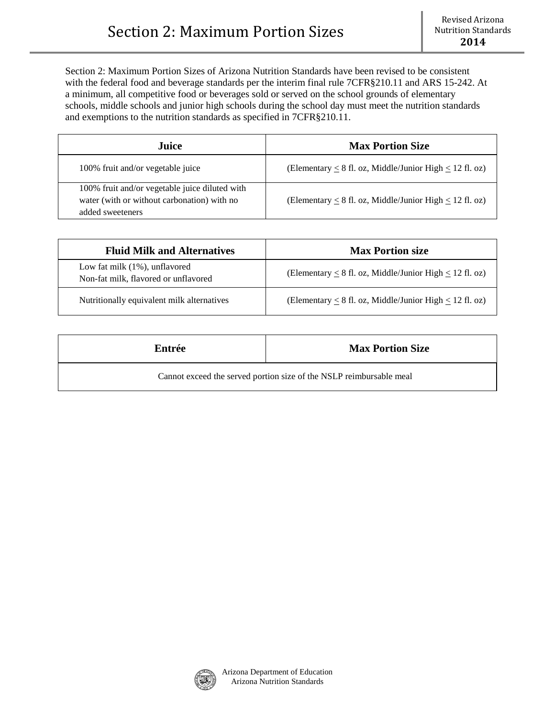Section 2: Maximum Portion Sizes of Arizona Nutrition Standards have been revised to be consistent with the federal food and beverage standards per the interim final rule 7CFR§210.11 and ARS 15-242. At a minimum, all competitive food or beverages sold or served on the school grounds of elementary schools, middle schools and junior high schools during the school day must meet the nutrition standards and exemptions to the nutrition standards as specified in 7CFR§210.11.

| Juice                                                                                                             | <b>Max Portion Size</b>                                           |
|-------------------------------------------------------------------------------------------------------------------|-------------------------------------------------------------------|
| 100% fruit and/or vegetable juice                                                                                 | (Elementary $\leq 8$ fl. oz, Middle/Junior High $\leq 12$ fl. oz) |
| 100% fruit and/or vegetable juice diluted with<br>water (with or without carbonation) with no<br>added sweeteners | (Elementary $< 8$ fl. oz, Middle/Junior High $< 12$ fl. oz)       |

| <b>Fluid Milk and Alternatives</b>                                    | <b>Max Portion size</b>                                           |
|-----------------------------------------------------------------------|-------------------------------------------------------------------|
| Low fat milk (1%), unflavored<br>Non-fat milk, flavored or unflavored | (Elementary $\leq 8$ fl. oz, Middle/Junior High $\leq 12$ fl. oz) |
| Nutritionally equivalent milk alternatives                            | (Elementary $\leq 8$ fl. oz, Middle/Junior High $\leq 12$ fl. oz) |

| Entrée                                                              | <b>Max Portion Size</b> |
|---------------------------------------------------------------------|-------------------------|
| Cannot exceed the served portion size of the NSLP reimbursable meal |                         |